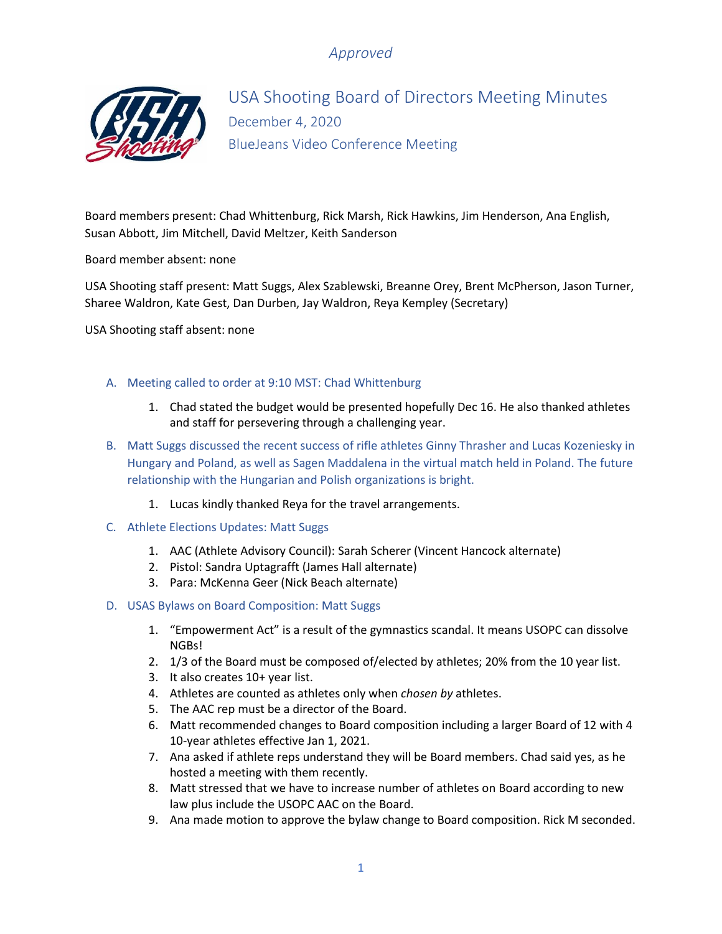

USA Shooting Board of Directors Meeting Minutes December 4, 2020 BlueJeans Video Conference Meeting

Board members present: Chad Whittenburg, Rick Marsh, Rick Hawkins, Jim Henderson, Ana English, Susan Abbott, Jim Mitchell, David Meltzer, Keith Sanderson

Board member absent: none

USA Shooting staff present: Matt Suggs, Alex Szablewski, Breanne Orey, Brent McPherson, Jason Turner, Sharee Waldron, Kate Gest, Dan Durben, Jay Waldron, Reya Kempley (Secretary)

USA Shooting staff absent: none

- A. Meeting called to order at 9:10 MST: Chad Whittenburg
	- 1. Chad stated the budget would be presented hopefully Dec 16. He also thanked athletes and staff for persevering through a challenging year.
- B. Matt Suggs discussed the recent success of rifle athletes Ginny Thrasher and Lucas Kozeniesky in Hungary and Poland, as well as Sagen Maddalena in the virtual match held in Poland. The future relationship with the Hungarian and Polish organizations is bright.
	- 1. Lucas kindly thanked Reya for the travel arrangements.
- C. Athlete Elections Updates: Matt Suggs
	- 1. AAC (Athlete Advisory Council): Sarah Scherer (Vincent Hancock alternate)
	- 2. Pistol: Sandra Uptagrafft (James Hall alternate)
	- 3. Para: McKenna Geer (Nick Beach alternate)
- D. USAS Bylaws on Board Composition: Matt Suggs
	- 1. "Empowerment Act" is a result of the gymnastics scandal. It means USOPC can dissolve NGBs!
	- 2. 1/3 of the Board must be composed of/elected by athletes; 20% from the 10 year list.
	- 3. It also creates 10+ year list.
	- 4. Athletes are counted as athletes only when *chosen by* athletes.
	- 5. The AAC rep must be a director of the Board.
	- 6. Matt recommended changes to Board composition including a larger Board of 12 with 4 10-year athletes effective Jan 1, 2021.
	- 7. Ana asked if athlete reps understand they will be Board members. Chad said yes, as he hosted a meeting with them recently.
	- 8. Matt stressed that we have to increase number of athletes on Board according to new law plus include the USOPC AAC on the Board.
	- 9. Ana made motion to approve the bylaw change to Board composition. Rick M seconded.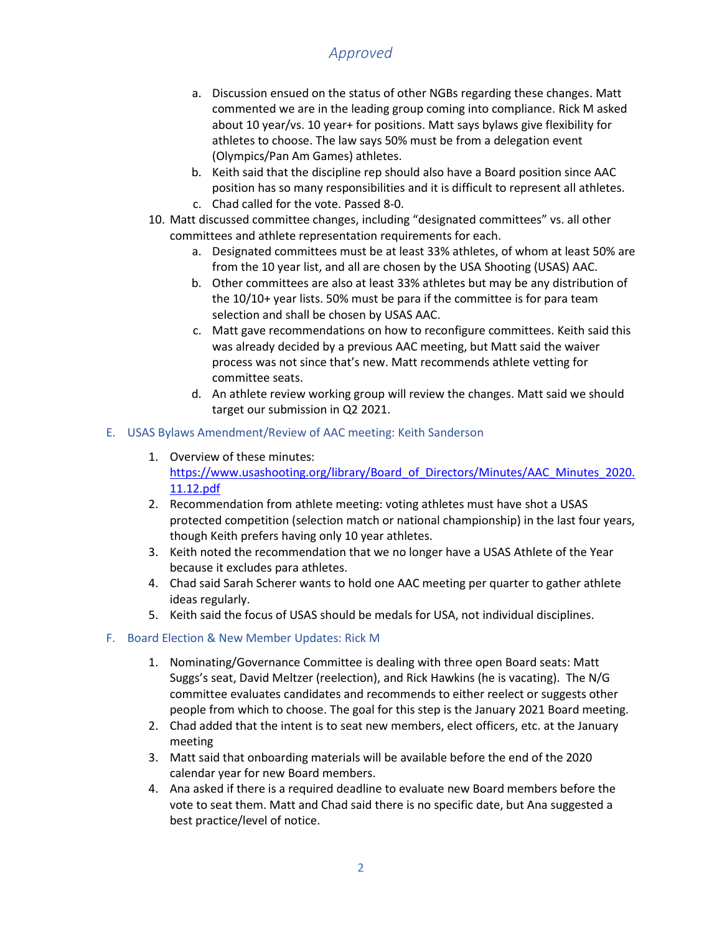- a. Discussion ensued on the status of other NGBs regarding these changes. Matt commented we are in the leading group coming into compliance. Rick M asked about 10 year/vs. 10 year+ for positions. Matt says bylaws give flexibility for athletes to choose. The law says 50% must be from a delegation event (Olympics/Pan Am Games) athletes.
- b. Keith said that the discipline rep should also have a Board position since AAC position has so many responsibilities and it is difficult to represent all athletes.
- c. Chad called for the vote. Passed 8-0.
- 10. Matt discussed committee changes, including "designated committees" vs. all other committees and athlete representation requirements for each.
	- a. Designated committees must be at least 33% athletes, of whom at least 50% are from the 10 year list, and all are chosen by the USA Shooting (USAS) AAC.
	- b. Other committees are also at least 33% athletes but may be any distribution of the 10/10+ year lists. 50% must be para if the committee is for para team selection and shall be chosen by USAS AAC.
	- c. Matt gave recommendations on how to reconfigure committees. Keith said this was already decided by a previous AAC meeting, but Matt said the waiver process was not since that's new. Matt recommends athlete vetting for committee seats.
	- d. An athlete review working group will review the changes. Matt said we should target our submission in Q2 2021.

#### E. USAS Bylaws Amendment/Review of AAC meeting: Keith Sanderson

- 1. Overview of these minutes: [https://www.usashooting.org/library/Board\\_of\\_Directors/Minutes/AAC\\_Minutes\\_2020.](https://www.usashooting.org/library/Board_of_Directors/Minutes/AAC_Minutes_2020.11.12.pdf) [11.12.pdf](https://www.usashooting.org/library/Board_of_Directors/Minutes/AAC_Minutes_2020.11.12.pdf)
- 2. Recommendation from athlete meeting: voting athletes must have shot a USAS protected competition (selection match or national championship) in the last four years, though Keith prefers having only 10 year athletes.
- 3. Keith noted the recommendation that we no longer have a USAS Athlete of the Year because it excludes para athletes.
- 4. Chad said Sarah Scherer wants to hold one AAC meeting per quarter to gather athlete ideas regularly.
- 5. Keith said the focus of USAS should be medals for USA, not individual disciplines.

#### F. Board Election & New Member Updates: Rick M

- 1. Nominating/Governance Committee is dealing with three open Board seats: Matt Suggs's seat, David Meltzer (reelection), and Rick Hawkins (he is vacating). The N/G committee evaluates candidates and recommends to either reelect or suggests other people from which to choose. The goal for this step is the January 2021 Board meeting.
- 2. Chad added that the intent is to seat new members, elect officers, etc. at the January meeting
- 3. Matt said that onboarding materials will be available before the end of the 2020 calendar year for new Board members.
- 4. Ana asked if there is a required deadline to evaluate new Board members before the vote to seat them. Matt and Chad said there is no specific date, but Ana suggested a best practice/level of notice.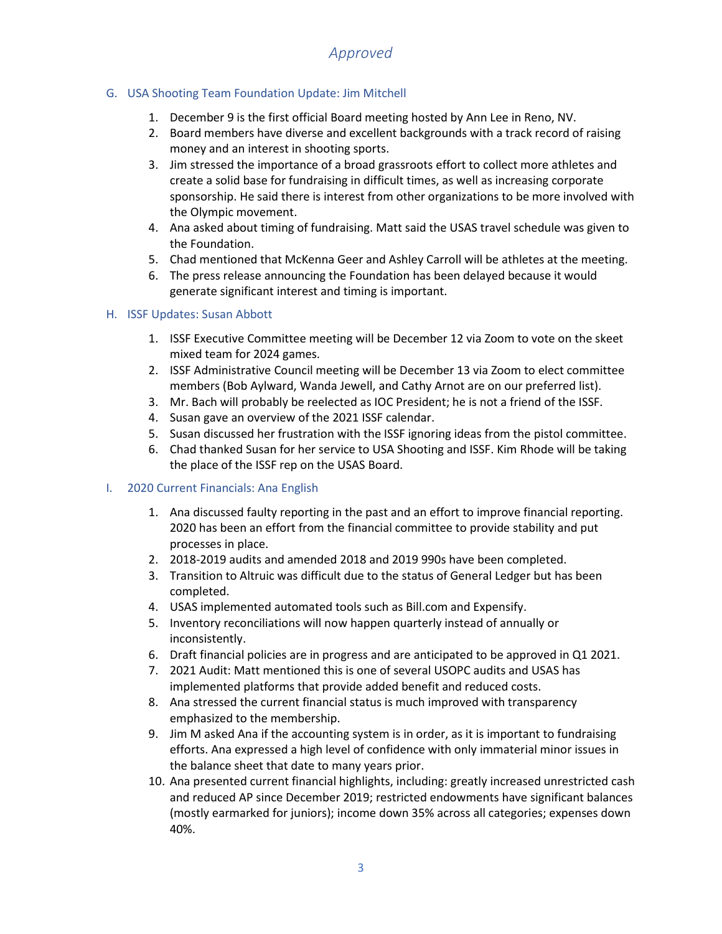## G. USA Shooting Team Foundation Update: Jim Mitchell

- 1. December 9 is the first official Board meeting hosted by Ann Lee in Reno, NV.
- 2. Board members have diverse and excellent backgrounds with a track record of raising money and an interest in shooting sports.
- 3. Jim stressed the importance of a broad grassroots effort to collect more athletes and create a solid base for fundraising in difficult times, as well as increasing corporate sponsorship. He said there is interest from other organizations to be more involved with the Olympic movement.
- 4. Ana asked about timing of fundraising. Matt said the USAS travel schedule was given to the Foundation.
- 5. Chad mentioned that McKenna Geer and Ashley Carroll will be athletes at the meeting.
- 6. The press release announcing the Foundation has been delayed because it would generate significant interest and timing is important.

## H. ISSF Updates: Susan Abbott

- 1. ISSF Executive Committee meeting will be December 12 via Zoom to vote on the skeet mixed team for 2024 games.
- 2. ISSF Administrative Council meeting will be December 13 via Zoom to elect committee members (Bob Aylward, Wanda Jewell, and Cathy Arnot are on our preferred list).
- 3. Mr. Bach will probably be reelected as IOC President; he is not a friend of the ISSF.
- 4. Susan gave an overview of the 2021 ISSF calendar.
- 5. Susan discussed her frustration with the ISSF ignoring ideas from the pistol committee.
- 6. Chad thanked Susan for her service to USA Shooting and ISSF. Kim Rhode will be taking the place of the ISSF rep on the USAS Board.

### I. 2020 Current Financials: Ana English

- 1. Ana discussed faulty reporting in the past and an effort to improve financial reporting. 2020 has been an effort from the financial committee to provide stability and put processes in place.
- 2. 2018-2019 audits and amended 2018 and 2019 990s have been completed.
- 3. Transition to Altruic was difficult due to the status of General Ledger but has been completed.
- 4. USAS implemented automated tools such as Bill.com and Expensify.
- 5. Inventory reconciliations will now happen quarterly instead of annually or inconsistently.
- 6. Draft financial policies are in progress and are anticipated to be approved in Q1 2021.
- 7. 2021 Audit: Matt mentioned this is one of several USOPC audits and USAS has implemented platforms that provide added benefit and reduced costs.
- 8. Ana stressed the current financial status is much improved with transparency emphasized to the membership.
- 9. Jim M asked Ana if the accounting system is in order, as it is important to fundraising efforts. Ana expressed a high level of confidence with only immaterial minor issues in the balance sheet that date to many years prior.
- 10. Ana presented current financial highlights, including: greatly increased unrestricted cash and reduced AP since December 2019; restricted endowments have significant balances (mostly earmarked for juniors); income down 35% across all categories; expenses down 40%.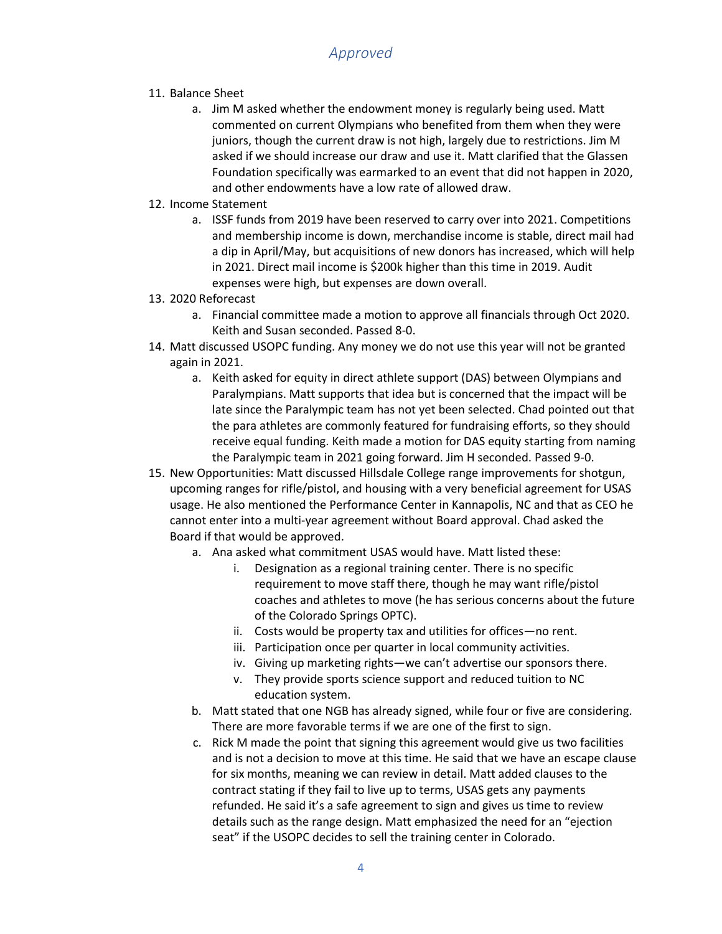- 11. Balance Sheet
	- a. Jim M asked whether the endowment money is regularly being used. Matt commented on current Olympians who benefited from them when they were juniors, though the current draw is not high, largely due to restrictions. Jim M asked if we should increase our draw and use it. Matt clarified that the Glassen Foundation specifically was earmarked to an event that did not happen in 2020, and other endowments have a low rate of allowed draw.
- 12. Income Statement
	- a. ISSF funds from 2019 have been reserved to carry over into 2021. Competitions and membership income is down, merchandise income is stable, direct mail had a dip in April/May, but acquisitions of new donors has increased, which will help in 2021. Direct mail income is \$200k higher than this time in 2019. Audit expenses were high, but expenses are down overall.
- 13. 2020 Reforecast
	- a. Financial committee made a motion to approve all financials through Oct 2020. Keith and Susan seconded. Passed 8-0.
- 14. Matt discussed USOPC funding. Any money we do not use this year will not be granted again in 2021.
	- a. Keith asked for equity in direct athlete support (DAS) between Olympians and Paralympians. Matt supports that idea but is concerned that the impact will be late since the Paralympic team has not yet been selected. Chad pointed out that the para athletes are commonly featured for fundraising efforts, so they should receive equal funding. Keith made a motion for DAS equity starting from naming the Paralympic team in 2021 going forward. Jim H seconded. Passed 9-0.
- 15. New Opportunities: Matt discussed Hillsdale College range improvements for shotgun, upcoming ranges for rifle/pistol, and housing with a very beneficial agreement for USAS usage. He also mentioned the Performance Center in Kannapolis, NC and that as CEO he cannot enter into a multi-year agreement without Board approval. Chad asked the Board if that would be approved.
	- a. Ana asked what commitment USAS would have. Matt listed these:
		- i. Designation as a regional training center. There is no specific requirement to move staff there, though he may want rifle/pistol coaches and athletes to move (he has serious concerns about the future of the Colorado Springs OPTC).
		- ii. Costs would be property tax and utilities for offices—no rent.
		- iii. Participation once per quarter in local community activities.
		- iv. Giving up marketing rights—we can't advertise our sponsors there.
		- v. They provide sports science support and reduced tuition to NC education system.
	- b. Matt stated that one NGB has already signed, while four or five are considering. There are more favorable terms if we are one of the first to sign.
	- c. Rick M made the point that signing this agreement would give us two facilities and is not a decision to move at this time. He said that we have an escape clause for six months, meaning we can review in detail. Matt added clauses to the contract stating if they fail to live up to terms, USAS gets any payments refunded. He said it's a safe agreement to sign and gives us time to review details such as the range design. Matt emphasized the need for an "ejection seat" if the USOPC decides to sell the training center in Colorado.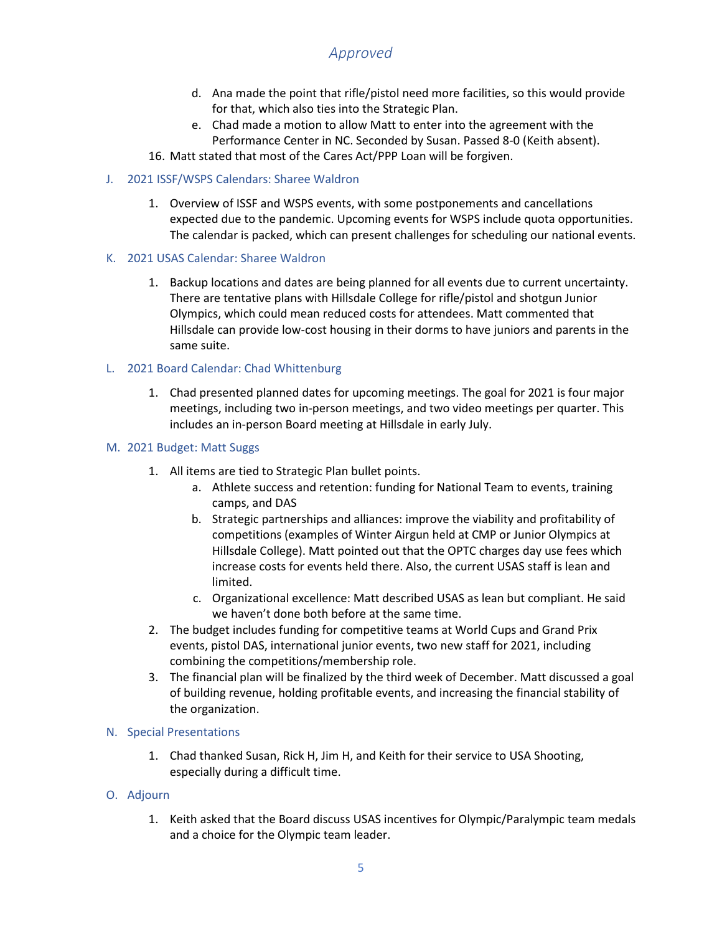- d. Ana made the point that rifle/pistol need more facilities, so this would provide for that, which also ties into the Strategic Plan.
- e. Chad made a motion to allow Matt to enter into the agreement with the Performance Center in NC. Seconded by Susan. Passed 8-0 (Keith absent).
- 16. Matt stated that most of the Cares Act/PPP Loan will be forgiven.

### J. 2021 ISSF/WSPS Calendars: Sharee Waldron

- 1. Overview of ISSF and WSPS events, with some postponements and cancellations expected due to the pandemic. Upcoming events for WSPS include quota opportunities. The calendar is packed, which can present challenges for scheduling our national events.
- K. 2021 USAS Calendar: Sharee Waldron
	- 1. Backup locations and dates are being planned for all events due to current uncertainty. There are tentative plans with Hillsdale College for rifle/pistol and shotgun Junior Olympics, which could mean reduced costs for attendees. Matt commented that Hillsdale can provide low-cost housing in their dorms to have juniors and parents in the same suite.

### L. 2021 Board Calendar: Chad Whittenburg

1. Chad presented planned dates for upcoming meetings. The goal for 2021 is four major meetings, including two in-person meetings, and two video meetings per quarter. This includes an in-person Board meeting at Hillsdale in early July.

#### M. 2021 Budget: Matt Suggs

- 1. All items are tied to Strategic Plan bullet points.
	- a. Athlete success and retention: funding for National Team to events, training camps, and DAS
	- b. Strategic partnerships and alliances: improve the viability and profitability of competitions (examples of Winter Airgun held at CMP or Junior Olympics at Hillsdale College). Matt pointed out that the OPTC charges day use fees which increase costs for events held there. Also, the current USAS staff is lean and limited.
	- c. Organizational excellence: Matt described USAS as lean but compliant. He said we haven't done both before at the same time.
- 2. The budget includes funding for competitive teams at World Cups and Grand Prix events, pistol DAS, international junior events, two new staff for 2021, including combining the competitions/membership role.
- 3. The financial plan will be finalized by the third week of December. Matt discussed a goal of building revenue, holding profitable events, and increasing the financial stability of the organization.

#### N. Special Presentations

1. Chad thanked Susan, Rick H, Jim H, and Keith for their service to USA Shooting, especially during a difficult time.

#### O. Adjourn

1. Keith asked that the Board discuss USAS incentives for Olympic/Paralympic team medals and a choice for the Olympic team leader.